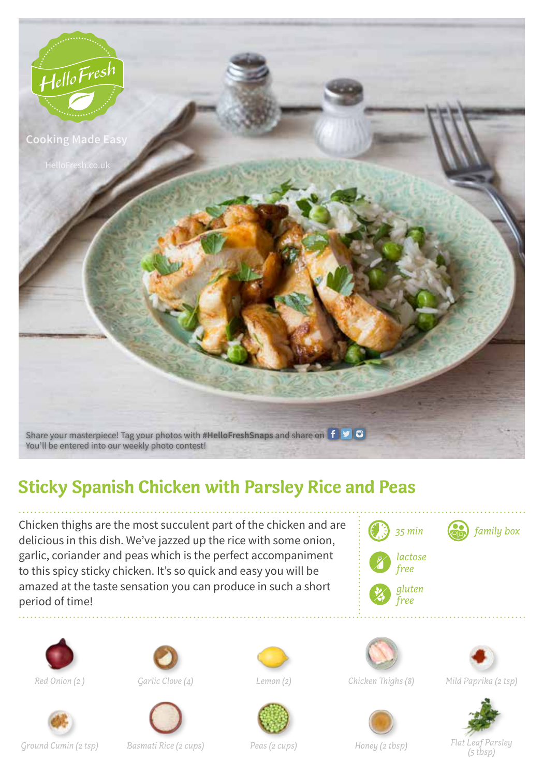

## **Sticky Spanish Chicken with Parsley Rice and Peas**

Chicken thighs are the most succulent part of the chicken and are delicious in this dish. We've jazzed up the rice with some onion, garlic, coriander and peas which is the perfect accompaniment to this spicy sticky chicken. It's so quick and easy you will be amazed at the taste sensation you can produce in such a short period of time!

















*Red Onion (2 ) Garlic Clove (4) Lemon (2) Chicken Thighs (8) Mild Paprika (2 tsp)*







*Ground Cumin (2 tsp) Basmati Rice (2 cups) Peas (2 cups) Honey (2 tbsp) Flat Leaf Parsley*